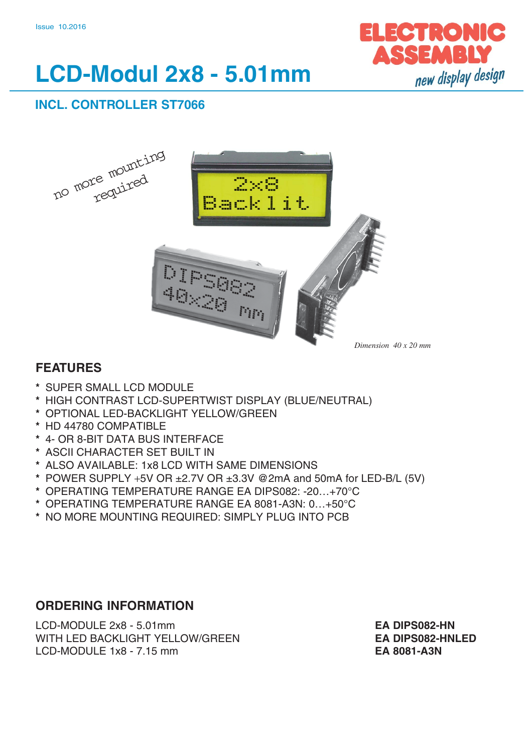

# **LCD-Modul 2x8 - 5.01mm**

# **INCL. CONTROLLER ST7066**



# **FEATURES**

- **\*** SUPER SMALL LCD MODULE
- **\*** HIGH CONTRAST LCD-SUPERTWIST DISPLAY (BLUE/NEUTRAL)
- **\*** OPTIONAL LED-BACKLIGHT YELLOW/GREEN
- **\*** HD 44780 COMPATIBLE
- **\*** 4- OR 8-BIT DATA BUS INTERFACE
- **\*** ASCII CHARACTER SET BUILT IN
- **\*** ALSO AVAILABLE: 1x8 LCD WITH SAME DIMENSIONS
- **\*** POWER SUPPLY +5V OR ±2.7V OR ±3.3V @2mA and 50mA for LED-B/L (5V)
- **\*** OPERATING TEMPERATURE RANGE EA DIPS082: -20…+70°C
- **\*** OPERATING TEMPERATURE RANGE EA 8081-A3N: 0…+50°C
- **\*** NO MORE MOUNTING REQUIRED: SIMPLY PLUG INTO PCB

## **ORDERING INFORMATION**

LCD-MODULE 2x8 - 5.01mm **EA DIPS082-HN** WITH LED BACKLIGHT YELLOW/GREEN **EA DIPS082-HNLED** LCD-MODULE 1x8 - 7.15 mm **EA 8081-A3N**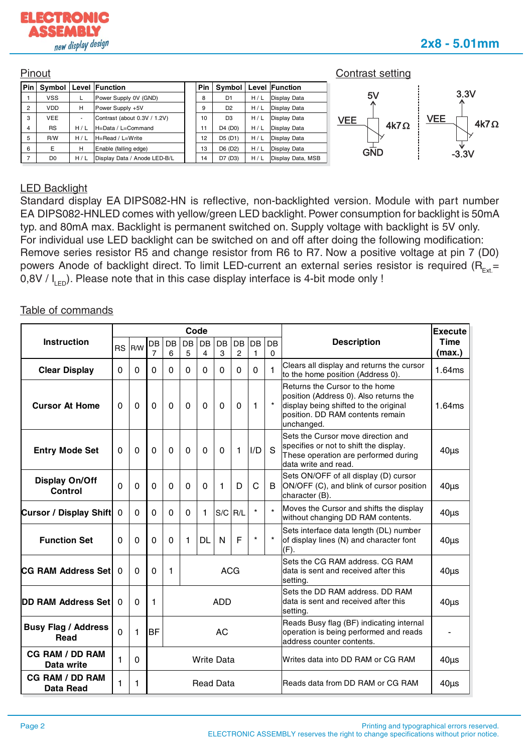



#### LED Backlight

Standard display EA DIPS082-HN is reflective, non-backlighted version. Module with part number EA DIPS082-HNLED comes with yellow/green LED backlight. Power consumption for backlight is 50mA typ. and 80mA max. Backlight is permanent switched on. Supply voltage with backlight is 5V only. For individual use LED backlight can be switched on and off after doing the following modification: Remove series resistor R5 and change resistor from R6 to R7. Now a positive voltage at pin 7 (D0) powers Anode of backlight direct. To limit LED-current an external series resistor is required ( $R_{Evt}$  =  $0,8V / I_{\text{L}}$ ). Please note that in this case display interface is 4-bit mode only !

#### Table of commands

|                                            |                                       |          |                             |             | Code     |              |           |             |                    |         | <b>Execute</b>                                                                                                                                                      |                |  |
|--------------------------------------------|---------------------------------------|----------|-----------------------------|-------------|----------|--------------|-----------|-------------|--------------------|---------|---------------------------------------------------------------------------------------------------------------------------------------------------------------------|----------------|--|
| <b>Instruction</b>                         | <b>RS</b>                             | R/W      | DB<br>7                     | DB<br>6     | DB<br>5  | DB<br>4      | DB<br>3   | DB<br>2     | DB<br>$\mathbf{1}$ | DB<br>0 | <b>Description</b>                                                                                                                                                  | Time<br>(max.) |  |
| <b>Clear Display</b>                       | $\Omega$                              | $\Omega$ | 0                           | $\Omega$    | 0        | $\Omega$     | $\Omega$  | $\Omega$    | $\Omega$           | 1       | Clears all display and returns the cursor<br>to the home position (Address 0).                                                                                      | 1.64ms         |  |
| <b>Cursor At Home</b>                      | $\Omega$                              | 0        | 0                           | $\mathbf 0$ | $\Omega$ | $\Omega$     | 0         | $\mathbf 0$ | $\mathbf{1}$       | $\star$ | Returns the Cursor to the home<br>position (Address 0). Also returns the<br>display being shifted to the original<br>position. DD RAM contents remain<br>unchanged. | 1.64ms         |  |
| <b>Entry Mode Set</b>                      | $\mathbf{0}$                          | 0        | $\Omega$                    | $\Omega$    | $\Omega$ | $\mathbf{0}$ | $\Omega$  | 1           | I/D                | S       | Sets the Cursor move direction and<br>specifies or not to shift the display.<br>These operation are performed during<br>data write and read.                        | $40\mu s$      |  |
| <b>Display On/Off</b><br><b>Control</b>    | $\Omega$                              | $\Omega$ | $\Omega$                    | $\Omega$    | $\Omega$ | $\Omega$     | 1         | D           | C                  | B       | Sets ON/OFF of all display (D) cursor<br>ON/OFF (C), and blink of cursor position<br>character (B).                                                                 | $40\mu s$      |  |
| <b>Cursor / Display Shift</b>              | $\mathbf 0$                           | 0        | 0                           | $\Omega$    | $\Omega$ | 1            | S/C       | R/L         | $\star$            | $\star$ | Moves the Cursor and shifts the display<br>without changing DD RAM contents.                                                                                        | $40\mu s$      |  |
| <b>Function Set</b>                        | $\Omega$                              | 0        | 0                           | $\Omega$    | 1        | <b>DL</b>    | N         | F           | $\star$            |         | Sets interface data length (DL) number<br>of display lines (N) and character font<br>(F).                                                                           | $40\mu s$      |  |
| <b>CG RAM Address Set</b>                  | $\Omega$                              | $\Omega$ | $\Omega$<br>1<br><b>ACG</b> |             |          |              |           |             |                    |         | Sets the CG RAM address, CG RAM<br>data is sent and received after this<br>setting.                                                                                 | $40\mu s$      |  |
| <b>DD RAM Address Set</b>                  | $\Omega$                              | $\Omega$ | 1                           | <b>ADD</b>  |          |              |           |             |                    |         | Sets the DD RAM address. DD RAM<br>data is sent and received after this<br>setting.                                                                                 | $40\mu s$      |  |
| <b>Busy Flag / Address</b><br>Read         | $\Omega$                              | 1        | <b>BF</b>                   |             |          |              | <b>AC</b> |             |                    |         | Reads Busy flag (BF) indicating internal<br>operation is being performed and reads<br>address counter contents.                                                     |                |  |
| <b>CG RAM / DD RAM</b><br>Data write       | 1<br>$\mathbf 0$<br><b>Write Data</b> |          |                             |             |          |              |           |             |                    |         | Writes data into DD RAM or CG RAM                                                                                                                                   | $40\mu s$      |  |
| <b>CG RAM / DD RAM</b><br><b>Data Read</b> | 1<br><b>Read Data</b><br>1            |          |                             |             |          |              |           |             |                    |         | Reads data from DD RAM or CG RAM                                                                                                                                    | $40\mu s$      |  |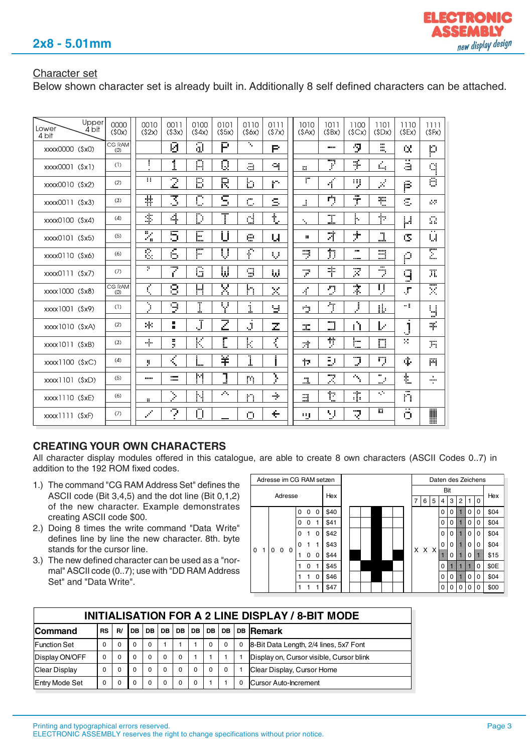## Character set

Below shown character set is already built in. Additionally 8 self defined characters can be attached.

| Lower<br>4 bit     | Upper<br>4 bit | 0000<br>(50x)        | 0010<br>(52x)               | 0011<br>(53x)            | 0100<br>(54x)           | 0101<br>(55x)           | 0110<br>(56x)   | 0111<br>(57x) | 1010<br>(SAx)      | 1011<br>(SBx)  | 1100<br>(SCx)             | 1101<br>(SDX)                   | 1110<br>(SEx)           | 1111<br>(SFx)      |
|--------------------|----------------|----------------------|-----------------------------|--------------------------|-------------------------|-------------------------|-----------------|---------------|--------------------|----------------|---------------------------|---------------------------------|-------------------------|--------------------|
| xxxx0000 (\$x0)    |                | CG RAM<br>(0)        |                             | Ø                        | ៊                       | छ                       | π,              | P             |                    | <b>Color</b>   | ņ                         | ×<br>œ.                         | Q.                      | p                  |
| xxxx0001 (\$x1)    |                | (1)                  | H                           | 1                        | ឝ                       | $\overline{\mathbb{Q}}$ | ä               | 역             | 謂                  | $\overline{r}$ | Ş.                        | ٤,                              | â                       | đ                  |
| xxxx0010 (\$x2)    |                | (2)                  | π                           | 2                        | B                       | R                       | b               | gн.           | ٣                  | $\vec{A}$      | ij                        | ź.                              | ß                       | ៊                  |
| xxxx0011 (\$x3)    |                | (3)                  | 봒                           | 3                        | C                       | C,<br>السير             | المعالي<br>ويرو | S,            | i                  | ŋ,             | ,,,,<br>$\mathbb T$       | ŧ                               | s.                      | 49                 |
| xxxx0100 (\$x4)    |                | (4)                  | 率                           | 4                        | D                       |                         | d               | £.            | ٠.                 | I.             | þ.                        | 卜                               | μ                       | Ω                  |
| xxxx0101 (\$x5)    |                | (5)                  | X                           | 5                        | E                       | U                       | e               | u             | ÷.                 | 才              | ナ                         | 77<br>i.                        | CS.                     | <b>A H</b><br>u    |
| xxxx0110 (\$x6)    |                | (6)                  | ß.                          | 6                        | po.<br>h                | Ų                       | 干               | Ų             | Ņ                  | 力              | ana.<br>man i             | <b>STORY</b><br>an will<br>i    | Ø                       | Σ                  |
| xxxx0111 (\$x7)    |                | (7)                  | 7.                          | 7                        | G                       | W                       | 9               | ω             | 7                  | 宇              | 7                         | m<br>ÿ.                         | q<br>-8                 | ж                  |
| xxxx1000 (\$x8)    |                | <b>CG RAM</b><br>(0) | ζ                           | 8                        | H                       | Χ                       | h               | ×             | 4                  | g              | 宗                         | IJ                              | $\mathcal{J}^{\dagger}$ | <b>The Co</b><br>× |
| xxxx1001 (\$x9)    |                | (1)                  | $\overline{\phantom{a}}$    | ្ញ                       | Ī                       | Ψ                       | ×<br>i          | 닣             | ٣Ņ,                | 亇              | J                         | П.                              | -1                      | u<br>шÊ            |
| xxxx1010 (\$xA)    |                | (2)                  | 宋                           | н.<br>a.                 | J                       | $\overline{z}$          | Ĵ               | mgo<br>ala    | <b>SIGN</b><br>nin | $\Box$         | Ĥ                         | ţ.                              | 1<br>J.                 | 爭                  |
| xxxx1011 (\$xB)    |                | (3)                  | 4.                          | и.<br>ÿ.                 | К                       | r.                      | k               | ₹             | 才                  | 뺫              | þ.<br>-                   | $\Box$                          | ×                       | 片                  |
| $xxxx1100$ $(SxC)$ |                | (4)                  | 9                           | ₹                        |                         | ¥                       | 1               | ļ             | Ÿ7.                | Þ              | Ţ.                        | ņ                               | ф                       | 門                  |
| xxxx1101 (\$xD)    |                | (5)                  | <b>SHOP</b>                 | man m<br>≕               | M                       | J                       | m               | Σ             | $\mathbf{J}$       | Z              | $\hat{\gamma}_{\text{L}}$ | ш.<br>$\mathbf{e}^{\mathbf{r}}$ | Ł                       | $\frac{1}{2}$      |
| $xxxx1110$ $(SxE)$ |                | (6)                  | ш                           | $\overline{\phantom{a}}$ | Ν                       | والمراد                 | 'n              | ÷             | E.                 | t              | 串                         | УP.                             | mп<br>n                 |                    |
| $xxxx1111$ $(SxF)$ |                | (7)                  | $\mathcal{S}^{\mathcal{C}}$ | $\overline{\mathbb{C}}$  | $\overline{\mathbb{O}}$ | <b>SHOP</b>             | Ö               | ÷             | щ                  | V              | R                         | W.                              | ö                       | I                  |

## **CREATING YOUR OWN CHARACTERS**

All character display modules offered in this catalogue, are able to create 8 own characters (ASCII Codes 0..7) in addition to the 192 ROM fixed codes.

- 1.) The command "CG RAM Address Set" defines the ASCII code (Bit 3,4,5) and the dot line (Bit 0,1,2) of the new character. Example demonstrates creating ASCII code \$00.
- 2.) Doing 8 times the write command "Data Write" defines line by line the new character. 8th. byte stands for the cursor line.
- 3.) The new defined character can be used as a "normal" ASCII code (0..7); use with "DD RAM Address Set" and "Data Write".

|  | Adresse im CG RAM setzen                    |  |               |      |             |      |          |             |      |      |   |   |   |      |      |   | Daten des Zeichens |   |     |          |          |                                                                                                                                                                                                                                  |          |          |          |          |    |    |   |          |      |  |          |  |    |   |   |      |
|--|---------------------------------------------|--|---------------|------|-------------|------|----------|-------------|------|------|---|---|---|------|------|---|--------------------|---|-----|----------|----------|----------------------------------------------------------------------------------------------------------------------------------------------------------------------------------------------------------------------------------|----------|----------|----------|----------|----|----|---|----------|------|--|----------|--|----|---|---|------|
|  |                                             |  |               |      |             |      |          |             |      |      |   |   |   |      |      |   | Bit                |   |     |          |          |                                                                                                                                                                                                                                  |          |          |          |          |    |    |   |          |      |  |          |  |    |   |   |      |
|  | Adresse<br>Hex                              |  |               |      |             |      |          |             |      |      |   |   |   |      |      |   | 5                  | 4 | 3   | 2        |          | $\Omega$                                                                                                                                                                                                                         | Hex      |          |          |          |    |    |   |          |      |  |          |  |    |   |   |      |
|  |                                             |  |               |      |             | 0    | $\Omega$ | $\mathbf 0$ | \$40 |      |   |   |   |      |      |   |                    |   |     | $\Omega$ | 0        | ee                                                                                                                                                                                                                               | $\Omega$ | $\Omega$ | \$04     |          |    |    |   |          |      |  |          |  |    |   |   |      |
|  |                                             |  |               |      |             | o    | 0        |             | \$41 |      |   |   |   |      |      |   |                    |   |     | $\Omega$ | 0        | e e de la contrada de la contrada de la contrada de la contrada de la contrada de la contrada de la contrada d<br>Contrada de la contrada de la contrada de la contrada de la contrada de la contrada de la contrada de la contr | 0        | 0        | \$04     |          |    |    |   |          |      |  |          |  |    |   |   |      |
|  | $\Omega$<br>0 <sub>0</sub><br>$\Omega$<br>1 |  | 0             | 1    | $\mathbf 0$ | \$42 |          |             |      |      |   |   |   |      |      |   | $\Omega$           | 0 | e e | $\Omega$ | 0        | \$04                                                                                                                                                                                                                             |          |          |          |          |    |    |   |          |      |  |          |  |    |   |   |      |
|  |                                             |  |               |      |             |      |          |             |      |      | 0 | 1 | 1 | \$43 |      |   |                    |   |     |          |          |                                                                                                                                                                                                                                  | x x x    |          | $\Omega$ | $\Omega$ | ▩▩ | 0  | 0 | \$04     |      |  |          |  |    |   |   |      |
|  |                                             |  | $\Omega$<br>0 | \$44 |             |      |          |             |      |      |   |   |   |      |      | 0 |                    | 0 | 81  | \$15     |          |                                                                                                                                                                                                                                  |          |          |          |          |    |    |   |          |      |  |          |  |    |   |   |      |
|  |                                             |  |               |      |             |      |          |             |      |      |   |   |   |      |      |   |                    |   |     | 0        | 1        | \$45                                                                                                                                                                                                                             |          |          |          |          |    |    |   |          |      |  | $\Omega$ |  | 88 | æ | 0 | \$0E |
|  |                                             |  |               |      |             |      |          |             |      |      |   |   |   | 0    | \$46 |   |                    |   |     |          |          |                                                                                                                                                                                                                                  |          |          |          | $\Omega$ | 0  | ▩▩ | 0 | $\Omega$ | \$04 |  |          |  |    |   |   |      |
|  |                                             |  |               |      |             |      |          |             | 1    | \$47 |   |   |   |      |      |   |                    |   |     |          | $\Omega$ | O                                                                                                                                                                                                                                | $\Omega$ | $\Omega$ | 0        | \$00     |    |    |   |          |      |  |          |  |    |   |   |      |

| INITIALISATION FOR A 2 LINE DISPLAY / 8-BIT MODE |           |          |           |           |           |           |           |           |             |          |                                          |  |  |  |
|--------------------------------------------------|-----------|----------|-----------|-----------|-----------|-----------|-----------|-----------|-------------|----------|------------------------------------------|--|--|--|
| <b>Command</b>                                   | <b>RS</b> | R/       | <b>DB</b> | <b>DB</b> | <b>DB</b> | <b>DB</b> | <b>DB</b> | <b>DB</b> | <b>DB</b>   |          | DB Remark                                |  |  |  |
| <b>IFunction Set</b>                             | 0         | $\Omega$ | $\Omega$  | $\Omega$  |           |           |           | $\Omega$  | $\mathbf 0$ | $\Omega$ | 8-Bit Data Length, 2/4 lines, 5x7 Font   |  |  |  |
| Display ON/OFF                                   | 0         | $\Omega$ | $\Omega$  | $\Omega$  | 0         | $\Omega$  |           |           |             |          | Display on, Cursor visible, Cursor blink |  |  |  |
| Clear Display                                    | 0         | $\Omega$ | $\Omega$  | 0         | $\Omega$  | $\Omega$  | $\Omega$  | $\Omega$  | $\mathbf 0$ |          | Clear Display, Cursor Home               |  |  |  |
| <b>Entry Mode Set</b>                            | 0         | $\Omega$ | $\Omega$  | 0         | 0         |           | 0         |           |             |          | Cursor Auto-Increment                    |  |  |  |